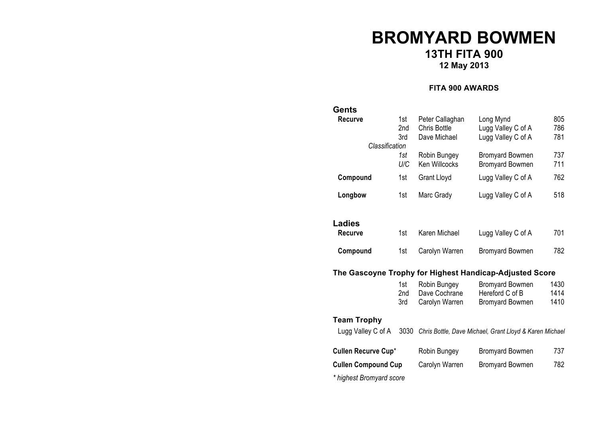# **BROMYARD BOWMEN 13TH FITA 900 12 May 2013**

#### **FITA 900 AWARDS**

| Gents                      |                   |                                                        |                                                                     |                      |  |  |  |
|----------------------------|-------------------|--------------------------------------------------------|---------------------------------------------------------------------|----------------------|--|--|--|
| <b>Recurve</b>             | 1st<br>2nd<br>3rd | Peter Callaghan<br><b>Chris Bottle</b><br>Dave Michael | Long Mynd<br>Lugg Valley C of A<br>Lugg Valley C of A               | 805<br>786<br>781    |  |  |  |
| Classification             |                   |                                                        |                                                                     |                      |  |  |  |
|                            | 1st<br>U/C        | Robin Bungey<br>Ken Willcocks                          | <b>Bromyard Bowmen</b><br><b>Bromyard Bowmen</b>                    | 737<br>711           |  |  |  |
| Compound                   | 1st               | <b>Grant Lloyd</b>                                     | Lugg Valley C of A                                                  | 762                  |  |  |  |
| Longbow                    | 1st               | Marc Grady                                             | Lugg Valley C of A                                                  | 518                  |  |  |  |
| <b>Ladies</b>              |                   |                                                        |                                                                     |                      |  |  |  |
| Recurve                    | 1st               | Karen Michael                                          | Lugg Valley C of A                                                  | 701                  |  |  |  |
| Compound                   | 1st               | Carolyn Warren                                         | <b>Bromyard Bowmen</b>                                              | 782                  |  |  |  |
|                            |                   |                                                        | The Gascoyne Trophy for Highest Handicap-Adjusted Score             |                      |  |  |  |
|                            | 1st<br>2nd<br>3rd | Robin Bungey<br>Dave Cochrane<br>Carolyn Warren        | <b>Bromyard Bowmen</b><br>Hereford C of B<br><b>Bromyard Bowmen</b> | 1430<br>1414<br>1410 |  |  |  |
| <b>Team Trophy</b>         |                   |                                                        |                                                                     |                      |  |  |  |
| Lugg Valley C of A         | 3030              |                                                        | Chris Bottle, Dave Michael, Grant Lloyd & Karen Michael             |                      |  |  |  |
| Cullen Recurve Cup*        |                   | Robin Bungey                                           | <b>Bromyard Bowmen</b>                                              | 737                  |  |  |  |
| <b>Cullen Compound Cup</b> |                   | Carolyn Warren                                         | <b>Bromyard Bowmen</b>                                              | 782                  |  |  |  |
| * highest Bromyard score   |                   |                                                        |                                                                     |                      |  |  |  |